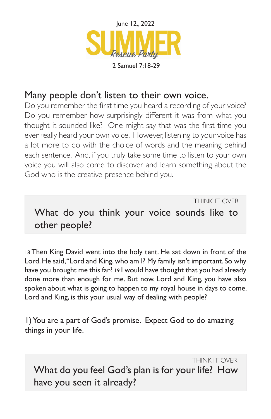

## Many people don't listen to their own voice.

Do you remember the first time you heard a recording of your voice? Do you remember how surprisingly different it was from what you thought it sounded like? One might say that was the first time you ever really heard your own voice. However, listening to your voice has a lot more to do with the choice of words and the meaning behind each sentence. And, if you truly take some time to listen to your own voice you will also come to discover and learn something about the God who is the creative presence behind you.

THINK IT OVER

What do you think your voice sounds like to other people?

18 Then King David went into the holy tent. He sat down in front of the Lord. He said, "Lord and King, who am I? My family isn't important. So why have you brought me this far? 19 I would have thought that you had already done more than enough for me. But now, Lord and King, you have also spoken about what is going to happen to my royal house in days to come. Lord and King, is this your usual way of dealing with people?

1) You are a part of God's promise. Expect God to do amazing things in your life.

THINK IT OVER What do you feel God's plan is for your life? How have you seen it already?